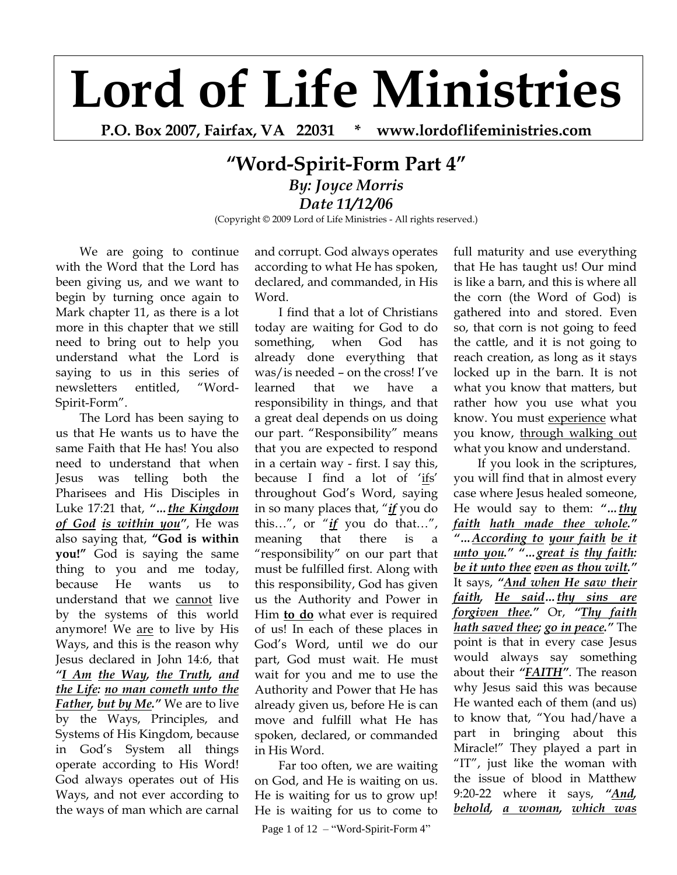## **Lord of Life Ministries**

**P.O. Box 2007, Fairfax, VA 22031 \* www.lordoflifeministries.com**

## **"Word-Spirit-Form Part 4"** *By: Joyce Morris Date 11/12/06*

(Copyright © 2009 Lord of Life Ministries - All rights reserved.)

We are going to continue with the Word that the Lord has been giving us, and we want to begin by turning once again to Mark chapter 11, as there is a lot more in this chapter that we still need to bring out to help you understand what the Lord is saying to us in this series of newsletters entitled, "Word-Spirit-Form".

The Lord has been saying to us that He wants us to have the same Faith that He has! You also need to understand that when Jesus was telling both the Pharisees and His Disciples in Luke 17:21 that, *"…the Kingdom of God is within you"*, He was also saying that, **"God is within you!"** God is saying the same thing to you and me today, because He wants us to understand that we cannot live by the systems of this world anymore! We are to live by His Ways, and this is the reason why Jesus declared in John 14:6, that *"I Am the Way, the Truth, and the Life: no man cometh unto the Father, but by Me."* We are to live by the Ways, Principles, and Systems of His Kingdom, because in God"s System all things operate according to His Word! God always operates out of His Ways, and not ever according to the ways of man which are carnal

and corrupt. God always operates according to what He has spoken, declared, and commanded, in His Word.

I find that a lot of Christians today are waiting for God to do something, when God has already done everything that was/is needed – on the cross! I"ve learned that we have a responsibility in things, and that a great deal depends on us doing our part. "Responsibility" means that you are expected to respond in a certain way - first. I say this, because I find a lot of 'ifs' throughout God"s Word, saying in so many places that, "*if* you do this…", or "*if* you do that…", meaning that there is a "responsibility" on our part that must be fulfilled first. Along with this responsibility, God has given us the Authority and Power in Him **to do** what ever is required of us! In each of these places in God"s Word, until we do our part, God must wait. He must wait for you and me to use the Authority and Power that He has already given us, before He is can move and fulfill what He has spoken, declared, or commanded in His Word.

Far too often, we are waiting on God, and He is waiting on us. He is waiting for us to grow up! He is waiting for us to come to

Page 1 of 12 – "Word-Spirit-Form 4"

full maturity and use everything that He has taught us! Our mind is like a barn, and this is where all the corn (the Word of God) is gathered into and stored. Even so, that corn is not going to feed the cattle, and it is not going to reach creation, as long as it stays locked up in the barn. It is not what you know that matters, but rather how you use what you know. You must experience what you know, through walking out what you know and understand.

If you look in the scriptures, you will find that in almost every case where Jesus healed someone, He would say to them: *"…thy faith hath made thee whole." "…According to your faith be it unto you." "…great is thy faith: be it unto thee even as thou wilt."* It says, *"And when He saw their faith, He said…thy sins are forgiven thee."* Or, *"Thy faith hath saved thee; go in peace."* The point is that in every case Jesus would always say something about their *"FAITH"*. The reason why Jesus said this was because He wanted each of them (and us) to know that, "You had/have a part in bringing about this Miracle!" They played a part in "IT", just like the woman with the issue of blood in Matthew 9:20-22 where it says, *"And, behold, a woman, which was*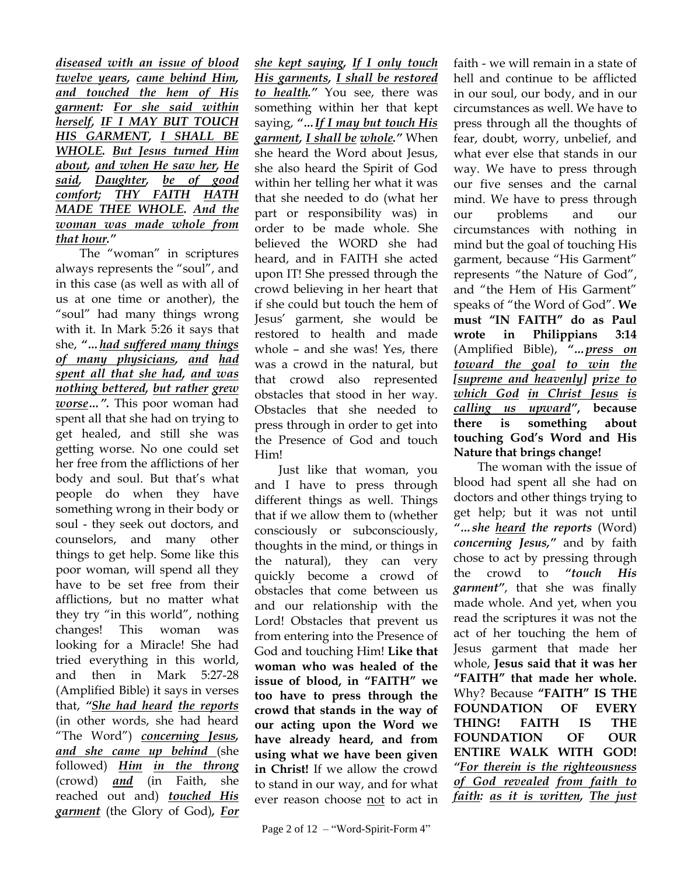*diseased with an issue of blood twelve years, came behind Him, and touched the hem of His garment: For she said within herself, IF I MAY BUT TOUCH HIS GARMENT, I SHALL BE WHOLE. But Jesus turned Him about, and when He saw her, He said, Daughter, be of good comfort; THY FAITH HATH MADE THEE WHOLE. And the woman was made whole from that hour."*

The "woman" in scriptures always represents the "soul", and in this case (as well as with all of us at one time or another), the "soul" had many things wrong with it. In Mark 5:26 it says that she, *"…had suffered many things of many physicians, and had spent all that she had, and was nothing bettered, but rather grew worse…".* This poor woman had spent all that she had on trying to get healed, and still she was getting worse. No one could set her free from the afflictions of her body and soul. But that's what people do when they have something wrong in their body or soul - they seek out doctors, and counselors, and many other things to get help. Some like this poor woman, will spend all they have to be set free from their afflictions, but no matter what they try "in this world", nothing changes! This woman was looking for a Miracle! She had tried everything in this world, and then in Mark 5:27-28 (Amplified Bible) it says in verses that, *"She had heard the reports* (in other words, she had heard "The Word") *concerning Jesus, and she came up behind* (she followed) *Him in the throng* (crowd) *and* (in Faith, she reached out and) *touched His garment* (the Glory of God)*, For* 

*she kept saying, If I only touch His garments, I shall be restored to health."* You see, there was something within her that kept saying, *"…If I may but touch His garment, I shall be whole."* When she heard the Word about Jesus, she also heard the Spirit of God within her telling her what it was that she needed to do (what her part or responsibility was) in order to be made whole. She believed the WORD she had heard, and in FAITH she acted upon IT! She pressed through the crowd believing in her heart that if she could but touch the hem of Jesus" garment, she would be restored to health and made whole – and she was! Yes, there was a crowd in the natural, but that crowd also represented obstacles that stood in her way. Obstacles that she needed to press through in order to get into the Presence of God and touch Him!

Just like that woman, you and I have to press through different things as well. Things that if we allow them to (whether consciously or subconsciously, thoughts in the mind, or things in the natural), they can very quickly become a crowd of obstacles that come between us and our relationship with the Lord! Obstacles that prevent us from entering into the Presence of God and touching Him! **Like that woman who was healed of the issue of blood, in "FAITH" we too have to press through the crowd that stands in the way of our acting upon the Word we have already heard, and from using what we have been given in Christ!** If we allow the crowd to stand in our way, and for what ever reason choose not to act in

faith - we will remain in a state of hell and continue to be afflicted in our soul, our body, and in our circumstances as well. We have to press through all the thoughts of fear, doubt, worry, unbelief, and what ever else that stands in our way. We have to press through our five senses and the carnal mind. We have to press through our problems and our circumstances with nothing in mind but the goal of touching His garment, because "His Garment" represents "the Nature of God", and "the Hem of His Garment" speaks of "the Word of God". **We must "IN FAITH" do as Paul wrote in Philippians 3:14** (Amplified Bible), *"…press on toward the goal to win the [supreme and heavenly] prize to which God in Christ Jesus is calling us upward"***, because there is something about touching God's Word and His Nature that brings change!**

The woman with the issue of blood had spent all she had on doctors and other things trying to get help; but it was not until *"…she heard the reports* (Word) *concerning Jesus,"* and by faith chose to act by pressing through the crowd to *"touch His garment"*, that she was finally made whole. And yet, when you read the scriptures it was not the act of her touching the hem of Jesus garment that made her whole, **Jesus said that it was her "FAITH" that made her whole.** Why? Because **"FAITH" IS THE FOUNDATION OF EVERY THING! FAITH IS THE FOUNDATION OF OUR ENTIRE WALK WITH GOD!**  *"For therein is the righteousness of God revealed from faith to faith: as it is written, The just*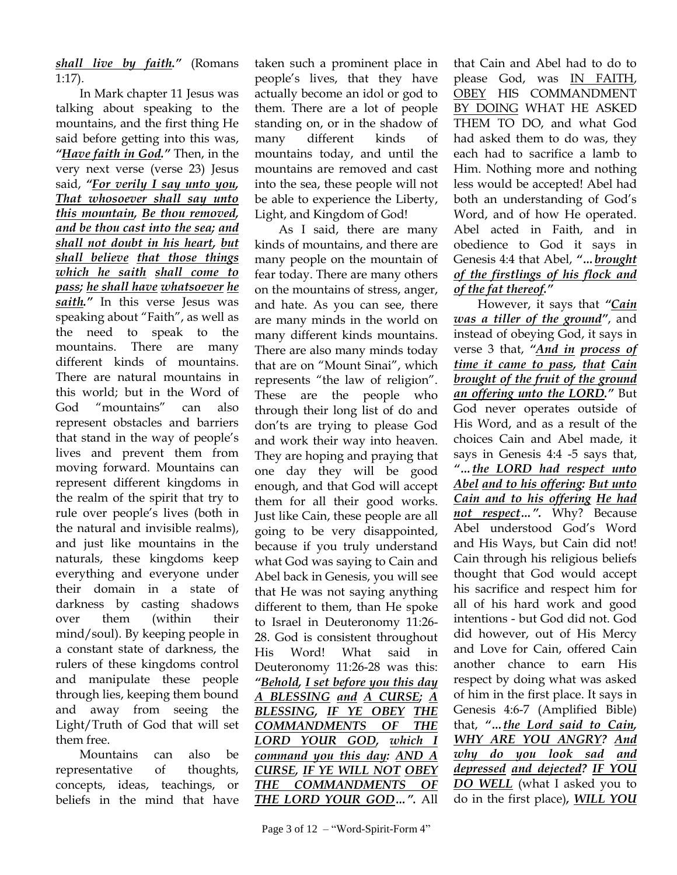*shall live by faith."* (Romans 1:17).

In Mark chapter 11 Jesus was talking about speaking to the mountains, and the first thing He said before getting into this was, *"Have faith in God."* Then, in the very next verse (verse 23) Jesus said, *"For verily I say unto you, That whosoever shall say unto this mountain, Be thou removed, and be thou cast into the sea; and shall not doubt in his heart, but shall believe that those things which he saith shall come to pass; he shall have whatsoever he saith."* In this verse Jesus was speaking about "Faith", as well as the need to speak to the mountains. There are many different kinds of mountains. There are natural mountains in this world; but in the Word of God "mountains" can also represent obstacles and barriers that stand in the way of people"s lives and prevent them from moving forward. Mountains can represent different kingdoms in the realm of the spirit that try to rule over people"s lives (both in the natural and invisible realms), and just like mountains in the naturals, these kingdoms keep everything and everyone under their domain in a state of darkness by casting shadows over them (within their mind/soul). By keeping people in a constant state of darkness, the rulers of these kingdoms control and manipulate these people through lies, keeping them bound and away from seeing the Light/Truth of God that will set them free.

Mountains can also be representative of thoughts, concepts, ideas, teachings, or beliefs in the mind that have taken such a prominent place in people"s lives, that they have actually become an idol or god to them. There are a lot of people standing on, or in the shadow of many different kinds of mountains today, and until the mountains are removed and cast into the sea, these people will not be able to experience the Liberty, Light, and Kingdom of God!

As I said, there are many kinds of mountains, and there are many people on the mountain of fear today. There are many others on the mountains of stress, anger, and hate. As you can see, there are many minds in the world on many different kinds mountains. There are also many minds today that are on "Mount Sinai", which represents "the law of religion". These are the people who through their long list of do and don"ts are trying to please God and work their way into heaven. They are hoping and praying that one day they will be good enough, and that God will accept them for all their good works. Just like Cain, these people are all going to be very disappointed, because if you truly understand what God was saying to Cain and Abel back in Genesis, you will see that He was not saying anything different to them, than He spoke to Israel in Deuteronomy 11:26- 28. God is consistent throughout His Word! What said in Deuteronomy 11:26-28 was this: *"Behold, I set before you this day A BLESSING and A CURSE; A BLESSING, IF YE OBEY THE COMMANDMENTS OF THE LORD YOUR GOD, which I command you this day: AND A CURSE, IF YE WILL NOT OBEY THE COMMANDMENTS OF THE LORD YOUR GOD…".* All

Page 3 of 12 – "Word-Spirit-Form 4"

that Cain and Abel had to do to please God, was IN FAITH, OBEY HIS COMMANDMENT BY DOING WHAT HE ASKED THEM TO DO, and what God had asked them to do was, they each had to sacrifice a lamb to Him. Nothing more and nothing less would be accepted! Abel had both an understanding of God's Word, and of how He operated. Abel acted in Faith, and in obedience to God it says in Genesis 4:4 that Abel, *"…brought of the firstlings of his flock and of the fat thereof."*

However, it says that *"Cain was a tiller of the ground"*, and instead of obeying God, it says in verse 3 that, *"And in process of time it came to pass, that Cain brought of the fruit of the ground an offering unto the LORD."* But God never operates outside of His Word, and as a result of the choices Cain and Abel made, it says in Genesis 4:4 -5 says that, *"…the LORD had respect unto Abel and to his offering: But unto Cain and to his offering He had not respect…".* Why? Because Abel understood God"s Word and His Ways, but Cain did not! Cain through his religious beliefs thought that God would accept his sacrifice and respect him for all of his hard work and good intentions - but God did not. God did however, out of His Mercy and Love for Cain, offered Cain another chance to earn His respect by doing what was asked of him in the first place. It says in Genesis 4:6-7 (Amplified Bible) that, *"…the Lord said to Cain, WHY ARE YOU ANGRY? And why do you look sad and depressed and dejected? IF YOU DO WELL* (what I asked you to do in the first place)*, WILL YOU*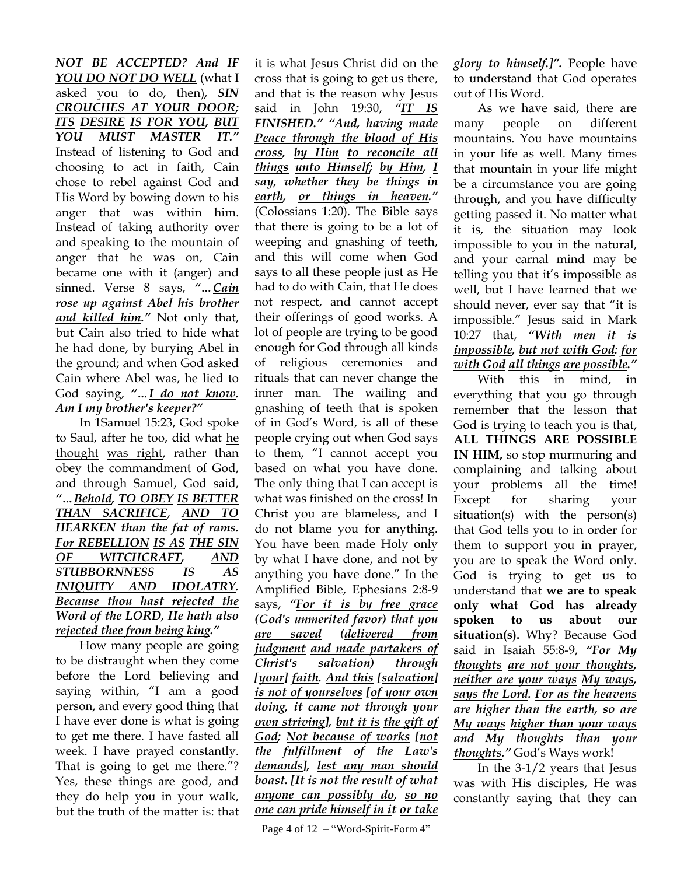*NOT BE ACCEPTED? And IF YOU DO NOT DO WELL* (what I asked you to do, then)*, SIN CROUCHES AT YOUR DOOR; ITS DESIRE IS FOR YOU, BUT YOU MUST MASTER IT."* Instead of listening to God and choosing to act in faith, Cain chose to rebel against God and His Word by bowing down to his anger that was within him. Instead of taking authority over and speaking to the mountain of anger that he was on, Cain became one with it (anger) and sinned. Verse 8 says, *"…Cain rose up against Abel his brother and killed him."* Not only that, but Cain also tried to hide what he had done, by burying Abel in the ground; and when God asked Cain where Abel was, he lied to God saying, *"…I do not know. Am I my brother's keeper?"*

In 1Samuel 15:23, God spoke to Saul, after he too, did what he thought was right, rather than obey the commandment of God, and through Samuel, God said, *"…Behold, TO OBEY IS BETTER THAN SACRIFICE*, *AND TO HEARKEN than the fat of rams. For REBELLION IS AS THE SIN OF WITCHCRAFT, AND STUBBORNNESS IS AS INIQUITY AND IDOLATRY. Because thou hast rejected the Word of the LORD, He hath also rejected thee from being king."*

How many people are going to be distraught when they come before the Lord believing and saying within, "I am a good person, and every good thing that I have ever done is what is going to get me there. I have fasted all week. I have prayed constantly. That is going to get me there."? Yes, these things are good, and they do help you in your walk, but the truth of the matter is: that

it is what Jesus Christ did on the cross that is going to get us there, and that is the reason why Jesus said in John 19:30, *"IT IS FINISHED." "And, having made Peace through the blood of His cross, by Him to reconcile all things unto Himself; by Him, I say, whether they be things in earth, or things in heaven."* (Colossians 1:20). The Bible says that there is going to be a lot of weeping and gnashing of teeth, and this will come when God says to all these people just as He had to do with Cain, that He does not respect, and cannot accept their offerings of good works. A lot of people are trying to be good enough for God through all kinds of religious ceremonies and rituals that can never change the inner man. The wailing and gnashing of teeth that is spoken of in God"s Word, is all of these people crying out when God says to them, "I cannot accept you based on what you have done. The only thing that I can accept is what was finished on the cross! In Christ you are blameless, and I do not blame you for anything. You have been made Holy only by what I have done, and not by anything you have done." In the Amplified Bible, Ephesians 2:8-9 says, *"For it is by free grace (God's unmerited favor) that you are saved (delivered from judgment and made partakers of Christ's salvation) through [your] faith. And this [salvation] is not of yourselves [of your own doing, it came not through your own striving], but it is the gift of God; Not because of works [not the fulfillment of the Law's demands], lest any man should boast. [It is not the result of what anyone can possibly do, so no one can pride himself in it or take* 

Page 4 of 12 – "Word-Spirit-Form 4"

*glory to himself.]".* People have to understand that God operates out of His Word.

As we have said, there are many people on different mountains. You have mountains in your life as well. Many times that mountain in your life might be a circumstance you are going through, and you have difficulty getting passed it. No matter what it is, the situation may look impossible to you in the natural, and your carnal mind may be telling you that it's impossible as well, but I have learned that we should never, ever say that "it is impossible." Jesus said in Mark 10:27 that, *"With men it is impossible, but not with God: for with God all things are possible."*

With this in mind, in everything that you go through remember that the lesson that God is trying to teach you is that, **ALL THINGS ARE POSSIBLE IN HIM,** so stop murmuring and complaining and talking about your problems all the time! Except for sharing your situation(s) with the person(s) that God tells you to in order for them to support you in prayer, you are to speak the Word only. God is trying to get us to understand that **we are to speak only what God has already spoken to us about our situation(s).** Why? Because God said in Isaiah 55:8-9, *"For My thoughts are not your thoughts, neither are your ways My ways, says the Lord. For as the heavens are higher than the earth, so are My ways higher than your ways and My thoughts than your thoughts."* God"s Ways work!

In the 3-1/2 years that Jesus was with His disciples, He was constantly saying that they can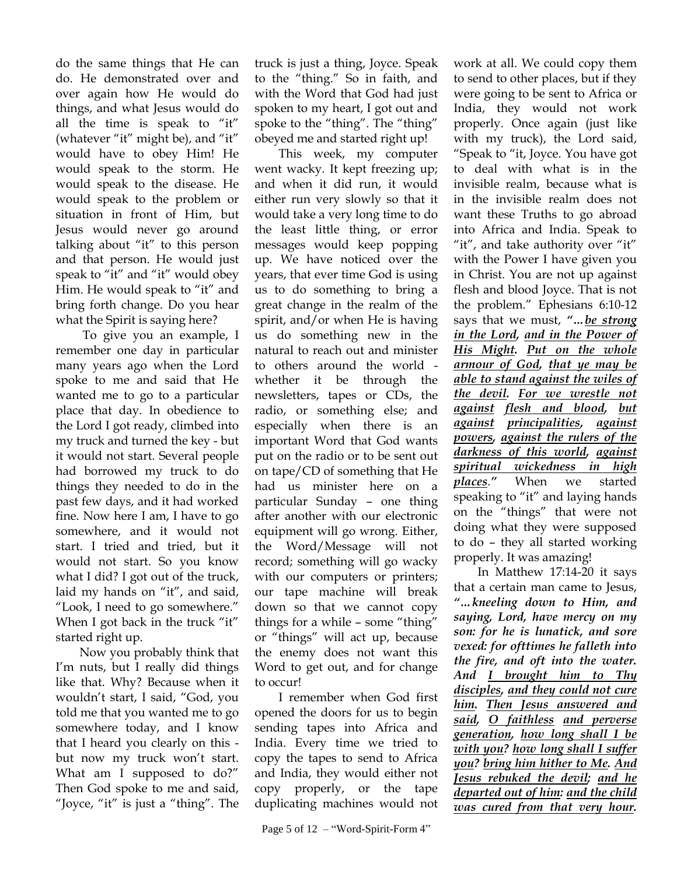do the same things that He can do. He demonstrated over and over again how He would do things, and what Jesus would do all the time is speak to "it" (whatever "it" might be), and "it" would have to obey Him! He would speak to the storm. He would speak to the disease. He would speak to the problem or situation in front of Him, but Jesus would never go around talking about "it" to this person and that person. He would just speak to "it" and "it" would obey Him. He would speak to "it" and bring forth change. Do you hear what the Spirit is saying here?

To give you an example, I remember one day in particular many years ago when the Lord spoke to me and said that He wanted me to go to a particular place that day. In obedience to the Lord I got ready, climbed into my truck and turned the key - but it would not start. Several people had borrowed my truck to do things they needed to do in the past few days, and it had worked fine. Now here I am, I have to go somewhere, and it would not start. I tried and tried, but it would not start. So you know what I did? I got out of the truck, laid my hands on "it", and said, "Look, I need to go somewhere." When I got back in the truck "it" started right up.

Now you probably think that I'm nuts, but I really did things like that. Why? Because when it wouldn"t start, I said, "God, you told me that you wanted me to go somewhere today, and I know that I heard you clearly on this but now my truck won't start. What am I supposed to do?" Then God spoke to me and said, "Joyce, "it" is just a "thing". The truck is just a thing, Joyce. Speak to the "thing." So in faith, and with the Word that God had just spoken to my heart, I got out and spoke to the "thing". The "thing" obeyed me and started right up!

This week, my computer went wacky. It kept freezing up; and when it did run, it would either run very slowly so that it would take a very long time to do the least little thing, or error messages would keep popping up. We have noticed over the years, that ever time God is using us to do something to bring a great change in the realm of the spirit, and/or when He is having us do something new in the natural to reach out and minister to others around the world whether it be through the newsletters, tapes or CDs, the radio, or something else; and especially when there is an important Word that God wants put on the radio or to be sent out on tape/CD of something that He had us minister here on a particular Sunday – one thing after another with our electronic equipment will go wrong. Either, the Word/Message will not record; something will go wacky with our computers or printers; our tape machine will break down so that we cannot copy things for a while – some "thing" or "things" will act up, because the enemy does not want this Word to get out, and for change to occur!

I remember when God first opened the doors for us to begin sending tapes into Africa and India. Every time we tried to copy the tapes to send to Africa and India, they would either not copy properly, or the tape duplicating machines would not work at all. We could copy them to send to other places, but if they were going to be sent to Africa or India, they would not work properly. Once again (just like with my truck), the Lord said, "Speak to "it, Joyce. You have got to deal with what is in the invisible realm, because what is in the invisible realm does not want these Truths to go abroad into Africa and India. Speak to "it", and take authority over "it" with the Power I have given you in Christ. You are not up against flesh and blood Joyce. That is not the problem." Ephesians 6:10-12 says that we must, *"…be strong in the Lord, and in the Power of His Might. Put on the whole armour of God, that ye may be able to stand against the wiles of the devil. For we wrestle not against flesh and blood, but against principalities, against powers, against the rulers of the darkness of this world, against spiritual wickedness in high places*.*"* When we started speaking to "it" and laying hands on the "things" that were not doing what they were supposed to do – they all started working properly. It was amazing!

In Matthew 17:14-20 it says that a certain man came to Jesus, *"…kneeling down to Him, and saying, Lord, have mercy on my son: for he is lunatick, and sore vexed: for ofttimes he falleth into the fire, and oft into the water. And I brought him to Thy disciples, and they could not cure him. Then Jesus answered and said, O faithless and perverse generation, how long shall I be with you? how long shall I suffer you? bring him hither to Me. And Jesus rebuked the devil; and he departed out of him: and the child was cured from that very hour.*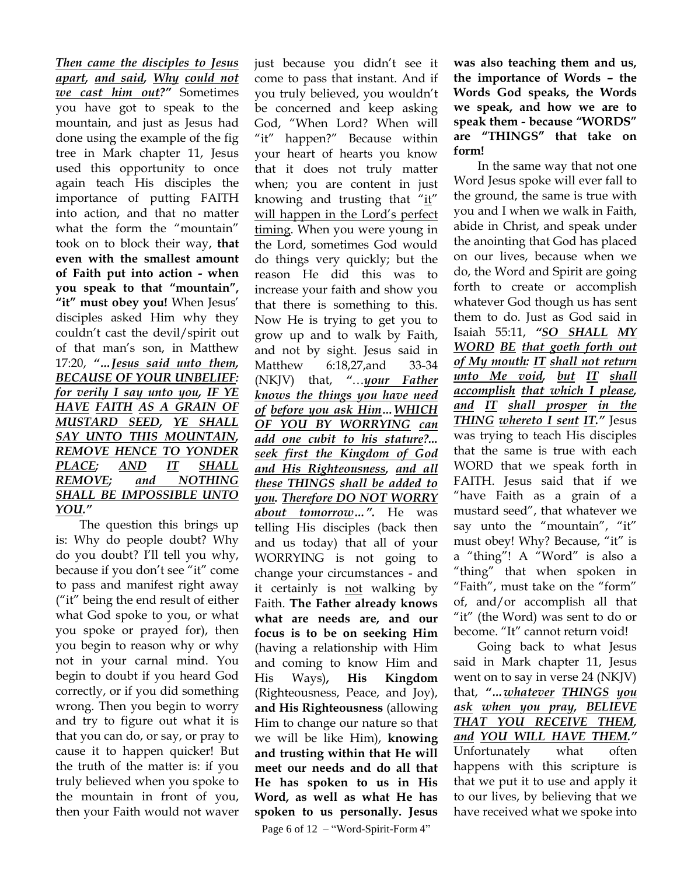*Then came the disciples to Jesus apart, and said, Why could not we cast him out?"* Sometimes you have got to speak to the mountain, and just as Jesus had done using the example of the fig tree in Mark chapter 11, Jesus used this opportunity to once again teach His disciples the importance of putting FAITH into action, and that no matter what the form the "mountain" took on to block their way, **that even with the smallest amount of Faith put into action - when you speak to that "mountain", "it" must obey you!** When Jesus" disciples asked Him why they couldn"t cast the devil/spirit out of that man"s son, in Matthew 17:20, *"…Jesus said unto them, BECAUSE OF YOUR UNBELIEF: for verily I say unto you, IF YE HAVE FAITH AS A GRAIN OF MUSTARD SEED, YE SHALL SAY UNTO THIS MOUNTAIN, REMOVE HENCE TO YONDER PLACE; AND IT SHALL REMOVE; and NOTHING SHALL BE IMPOSSIBLE UNTO YOU."*

The question this brings up is: Why do people doubt? Why do you doubt? I"ll tell you why, because if you don"t see "it" come to pass and manifest right away ("it" being the end result of either what God spoke to you, or what you spoke or prayed for), then you begin to reason why or why not in your carnal mind. You begin to doubt if you heard God correctly, or if you did something wrong. Then you begin to worry and try to figure out what it is that you can do, or say, or pray to cause it to happen quicker! But the truth of the matter is: if you truly believed when you spoke to the mountain in front of you, then your Faith would not waver

just because you didn"t see it come to pass that instant. And if you truly believed, you wouldn"t be concerned and keep asking God, "When Lord? When will "it" happen?" Because within your heart of hearts you know that it does not truly matter when; you are content in just knowing and trusting that "it" will happen in the Lord"s perfect timing. When you were young in the Lord, sometimes God would do things very quickly; but the reason He did this was to increase your faith and show you that there is something to this. Now He is trying to get you to grow up and to walk by Faith, and not by sight. Jesus said in Matthew 6:18,27,and 33-34 (NKJV) that, *"*…*your Father knows the things you have need of before you ask Him…WHICH OF YOU BY WORRYING can add one cubit to his stature?... seek first the Kingdom of God and His Righteousness, and all these THINGS shall be added to you. Therefore DO NOT WORRY about tomorrow…".* He was telling His disciples (back then and us today) that all of your WORRYING is not going to change your circumstances - and it certainly is not walking by Faith. **The Father already knows what are needs are, and our focus is to be on seeking Him** (having a relationship with Him and coming to know Him and His Ways)**, His Kingdom**  (Righteousness, Peace, and Joy), **and His Righteousness** (allowing Him to change our nature so that we will be like Him), **knowing and trusting within that He will meet our needs and do all that He has spoken to us in His Word, as well as what He has spoken to us personally. Jesus** 

Page 6 of 12 – "Word-Spirit-Form 4"

**was also teaching them and us, the importance of Words – the Words God speaks, the Words we speak, and how we are to speak them - because "WORDS" are "THINGS" that take on form!**

In the same way that not one Word Jesus spoke will ever fall to the ground, the same is true with you and I when we walk in Faith, abide in Christ, and speak under the anointing that God has placed on our lives, because when we do, the Word and Spirit are going forth to create or accomplish whatever God though us has sent them to do. Just as God said in Isaiah 55:11, *"SO SHALL MY WORD BE that goeth forth out of My mouth: IT shall not return unto Me void, but IT shall accomplish that which I please, and IT shall prosper in the THING whereto I sent IT."* Jesus was trying to teach His disciples that the same is true with each WORD that we speak forth in FAITH. Jesus said that if we "have Faith as a grain of a mustard seed", that whatever we say unto the "mountain", "it" must obey! Why? Because, "it" is a "thing"! A "Word" is also a "thing" that when spoken in "Faith", must take on the "form" of, and/or accomplish all that "it" (the Word) was sent to do or become. "It" cannot return void!

Going back to what Jesus said in Mark chapter 11, Jesus went on to say in verse 24 (NKJV) that, *"…whatever THINGS you ask when you pray, BELIEVE THAT YOU RECEIVE THEM, and YOU WILL HAVE THEM."* Unfortunately what often happens with this scripture is that we put it to use and apply it to our lives, by believing that we have received what we spoke into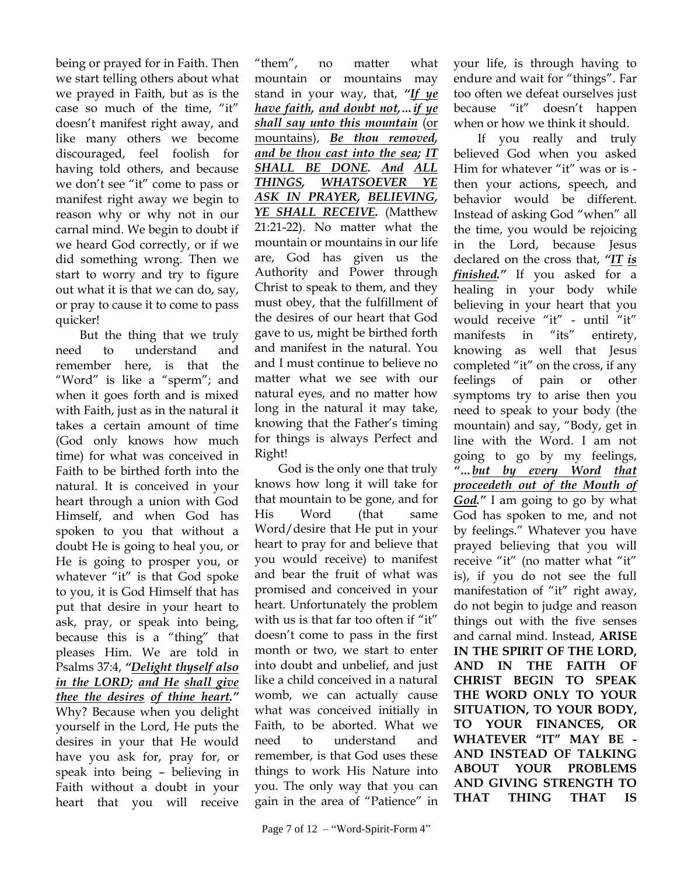being or prayed for in Faith. Then we start telling others about what we prayed in Faith, but as is the case so much of the time, "it" doesn"t manifest right away, and like many others we become discouraged, feel foolish for having told others, and because we don"t see "it" come to pass or manifest right away we begin to reason why or why not in our carnal mind. We begin to doubt if we heard God correctly, or if we did something wrong. Then we start to worry and try to figure out what it is that we can do, say, or pray to cause it to come to pass quicker!

But the thing that we truly need to understand and remember here, is that the "Word" is like a "sperm"; and when it goes forth and is mixed with Faith, just as in the natural it takes a certain amount of time (God only knows how much time) for what was conceived in Faith to be birthed forth into the natural. It is conceived in your heart through a union with God Himself, and when God has spoken to you that without a doubt He is going to heal you, or He is going to prosper you, or whatever "it" is that God spoke to you, it is God Himself that has put that desire in your heart to ask, pray, or speak into being, because this is a "thing" that pleases Him. We are told in Psalms 37:4, *"Delight thyself also in the LORD; and He shall give thee the desires of thine heart."* Why? Because when you delight yourself in the Lord, He puts the desires in your that He would have you ask for, pray for, or speak into being – believing in Faith without a doubt in your heart that you will receive

"them", no matter what mountain or mountains may stand in your way, that, *"If ye have faith, and doubt not,…if ye shall say unto this mountain* (or mountains), *Be thou removed, and be thou cast into the sea; IT SHALL BE DONE. And ALL THINGS, WHATSOEVER YE ASK IN PRAYER, BELIEVING, YE SHALL RECEIVE.* (Matthew 21:21-22). No matter what the mountain or mountains in our life are, God has given us the Authority and Power through Christ to speak to them, and they must obey, that the fulfillment of the desires of our heart that God gave to us, might be birthed forth and manifest in the natural. You and I must continue to believe no matter what we see with our natural eyes, and no matter how long in the natural it may take, knowing that the Father"s timing for things is always Perfect and Right!

God is the only one that truly knows how long it will take for that mountain to be gone, and for His Word (that same Word/desire that He put in your heart to pray for and believe that you would receive) to manifest and bear the fruit of what was promised and conceived in your heart. Unfortunately the problem with us is that far too often if "it" doesn"t come to pass in the first month or two, we start to enter into doubt and unbelief, and just like a child conceived in a natural womb, we can actually cause what was conceived initially in Faith, to be aborted. What we need to understand and remember, is that God uses these things to work His Nature into you. The only way that you can gain in the area of "Patience" in

your life, is through having to endure and wait for "things". Far too often we defeat ourselves just because "it" doesn"t happen when or how we think it should.

If you really and truly believed God when you asked Him for whatever "it" was or is then your actions, speech, and behavior would be different. Instead of asking God "when" all the time, you would be rejoicing in the Lord, because Jesus declared on the cross that, *"IT is finished."* If you asked for a healing in your body while believing in your heart that you would receive "it" - until "it" manifests in "its" entirety, knowing as well that Jesus completed "it" on the cross, if any feelings of pain or other symptoms try to arise then you need to speak to your body (the mountain) and say, "Body, get in line with the Word. I am not going to go by my feelings, *"…but by every Word that proceedeth out of the Mouth of God."* I am going to go by what God has spoken to me, and not by feelings." Whatever you have prayed believing that you will receive "it" (no matter what "it" is), if you do not see the full manifestation of "it" right away, do not begin to judge and reason things out with the five senses and carnal mind. Instead, **ARISE IN THE SPIRIT OF THE LORD, AND IN THE FAITH OF CHRIST BEGIN TO SPEAK THE WORD ONLY TO YOUR SITUATION, TO YOUR BODY, TO YOUR FINANCES, OR WHATEVER "IT" MAY BE - AND INSTEAD OF TALKING ABOUT YOUR PROBLEMS AND GIVING STRENGTH TO THAT THING THAT IS**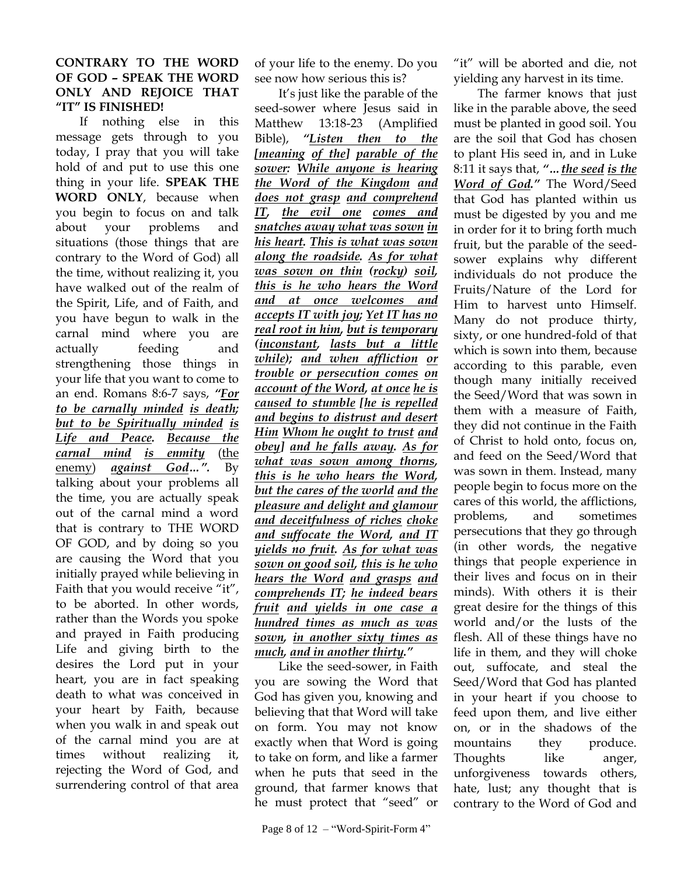## **CONTRARY TO THE WORD OF GOD – SPEAK THE WORD ONLY AND REJOICE THAT "IT" IS FINISHED!**

If nothing else in this message gets through to you today, I pray that you will take hold of and put to use this one thing in your life. **SPEAK THE WORD ONLY**, because when you begin to focus on and talk about your problems and situations (those things that are contrary to the Word of God) all the time, without realizing it, you have walked out of the realm of the Spirit, Life, and of Faith, and you have begun to walk in the carnal mind where you are actually feeding and strengthening those things in your life that you want to come to an end. Romans 8:6-7 says, *"For to be carnally minded is death; but to be Spiritually minded is Life and Peace. Because the carnal mind is enmity* (the enemy) *against God…".* By talking about your problems all the time, you are actually speak out of the carnal mind a word that is contrary to THE WORD OF GOD, and by doing so you are causing the Word that you initially prayed while believing in Faith that you would receive "it", to be aborted. In other words, rather than the Words you spoke and prayed in Faith producing Life and giving birth to the desires the Lord put in your heart, you are in fact speaking death to what was conceived in your heart by Faith, because when you walk in and speak out of the carnal mind you are at times without realizing it, rejecting the Word of God, and surrendering control of that area

of your life to the enemy. Do you see now how serious this is?

It's just like the parable of the seed-sower where Jesus said in Matthew 13:18-23 (Amplified Bible), *"Listen then to the [meaning of the] parable of the sower: While anyone is hearing the Word of the Kingdom and does not grasp and comprehend IT, the evil one comes and snatches away what was sown in his heart. This is what was sown along the roadside. As for what was sown on thin (rocky) soil, this is he who hears the Word and at once welcomes and accepts IT with joy; Yet IT has no real root in him, but is temporary (inconstant, lasts but a little while); and when affliction or trouble or persecution comes on account of the Word, at once he is caused to stumble [he is repelled and begins to distrust and desert Him Whom he ought to trust and obey] and he falls away. As for what was sown among thorns, this is he who hears the Word, but the cares of the world and the pleasure and delight and glamour and deceitfulness of riches choke and suffocate the Word, and IT yields no fruit. As for what was sown on good soil, this is he who hears the Word and grasps and comprehends IT; he indeed bears fruit and yields in one case a hundred times as much as was sown, in another sixty times as much, and in another thirty."*

Like the seed-sower, in Faith you are sowing the Word that God has given you, knowing and believing that that Word will take on form. You may not know exactly when that Word is going to take on form, and like a farmer when he puts that seed in the ground, that farmer knows that he must protect that "seed" or "it" will be aborted and die, not yielding any harvest in its time.

The farmer knows that just like in the parable above, the seed must be planted in good soil. You are the soil that God has chosen to plant His seed in, and in Luke 8:11 it says that, *"…the seed is the Word of God."* The Word/Seed that God has planted within us must be digested by you and me in order for it to bring forth much fruit, but the parable of the seedsower explains why different individuals do not produce the Fruits/Nature of the Lord for Him to harvest unto Himself. Many do not produce thirty, sixty, or one hundred-fold of that which is sown into them, because according to this parable, even though many initially received the Seed/Word that was sown in them with a measure of Faith, they did not continue in the Faith of Christ to hold onto, focus on, and feed on the Seed/Word that was sown in them. Instead, many people begin to focus more on the cares of this world, the afflictions, problems, and sometimes persecutions that they go through (in other words, the negative things that people experience in their lives and focus on in their minds). With others it is their great desire for the things of this world and/or the lusts of the flesh. All of these things have no life in them, and they will choke out, suffocate, and steal the Seed/Word that God has planted in your heart if you choose to feed upon them, and live either on, or in the shadows of the mountains they produce. Thoughts like anger, unforgiveness towards others, hate, lust; any thought that is contrary to the Word of God and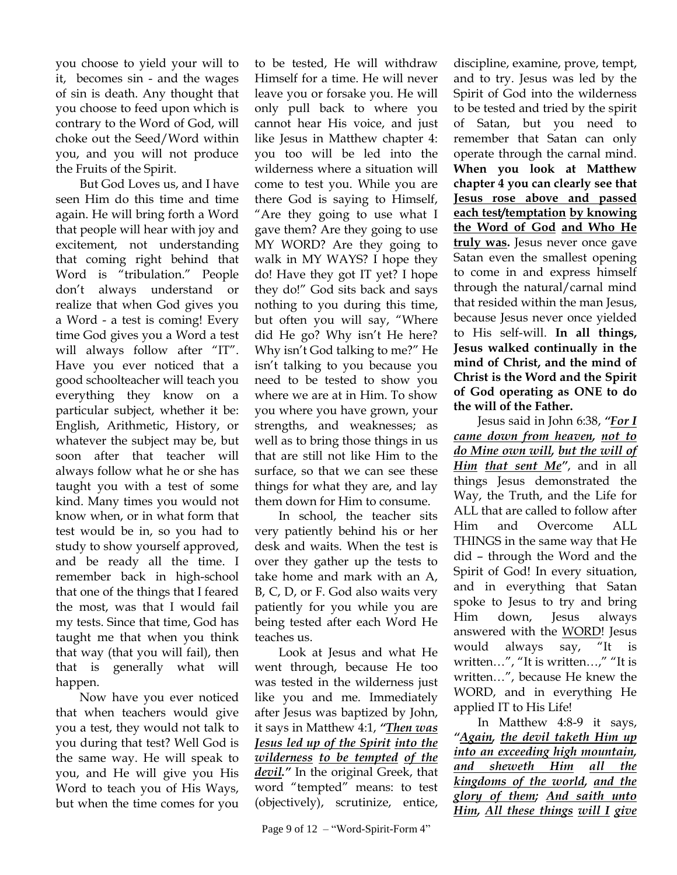you choose to yield your will to it, becomes sin - and the wages of sin is death. Any thought that you choose to feed upon which is contrary to the Word of God, will choke out the Seed/Word within you, and you will not produce the Fruits of the Spirit.

But God Loves us, and I have seen Him do this time and time again. He will bring forth a Word that people will hear with joy and excitement, not understanding that coming right behind that Word is "tribulation." People don"t always understand or realize that when God gives you a Word - a test is coming! Every time God gives you a Word a test will always follow after "IT". Have you ever noticed that a good schoolteacher will teach you everything they know on a particular subject, whether it be: English, Arithmetic, History, or whatever the subject may be, but soon after that teacher will always follow what he or she has taught you with a test of some kind. Many times you would not know when, or in what form that test would be in, so you had to study to show yourself approved, and be ready all the time. I remember back in high-school that one of the things that I feared the most, was that I would fail my tests. Since that time, God has taught me that when you think that way (that you will fail), then that is generally what will happen.

Now have you ever noticed that when teachers would give you a test, they would not talk to you during that test? Well God is the same way. He will speak to you, and He will give you His Word to teach you of His Ways, but when the time comes for you to be tested, He will withdraw Himself for a time. He will never leave you or forsake you. He will only pull back to where you cannot hear His voice, and just like Jesus in Matthew chapter 4: you too will be led into the wilderness where a situation will come to test you. While you are there God is saying to Himself, "Are they going to use what I gave them? Are they going to use MY WORD? Are they going to walk in MY WAYS? I hope they do! Have they got IT yet? I hope they do!" God sits back and says nothing to you during this time, but often you will say, "Where did He go? Why isn't He here? Why isn't God talking to me?" He isn"t talking to you because you need to be tested to show you where we are at in Him. To show you where you have grown, your strengths, and weaknesses; as well as to bring those things in us that are still not like Him to the surface, so that we can see these things for what they are, and lay them down for Him to consume.

In school, the teacher sits very patiently behind his or her desk and waits. When the test is over they gather up the tests to take home and mark with an A, B, C, D, or F. God also waits very patiently for you while you are being tested after each Word He teaches us.

Look at Jesus and what He went through, because He too was tested in the wilderness just like you and me. Immediately after Jesus was baptized by John, it says in Matthew 4:1, *"Then was Jesus led up of the Spirit into the wilderness to be tempted of the devil."* In the original Greek, that word "tempted" means: to test (objectively), scrutinize, entice,

discipline, examine, prove, tempt, and to try. Jesus was led by the Spirit of God into the wilderness to be tested and tried by the spirit of Satan, but you need to remember that Satan can only operate through the carnal mind. **When you look at Matthew chapter 4 you can clearly see that Jesus rose above and passed each test/temptation by knowing the Word of God and Who He truly was.** Jesus never once gave Satan even the smallest opening to come in and express himself through the natural/carnal mind that resided within the man Jesus, because Jesus never once yielded to His self-will. **In all things, Jesus walked continually in the mind of Christ, and the mind of Christ is the Word and the Spirit of God operating as ONE to do the will of the Father.**

Jesus said in John 6:38, *"For I came down from heaven, not to do Mine own will, but the will of Him that sent Me"*, and in all things Jesus demonstrated the Way, the Truth, and the Life for ALL that are called to follow after Him and Overcome ALL THINGS in the same way that He did – through the Word and the Spirit of God! In every situation, and in everything that Satan spoke to Jesus to try and bring Him down, Jesus always answered with the WORD! Jesus would always say, "It is written…", "It is written…," "It is written…", because He knew the WORD, and in everything He applied IT to His Life!

In Matthew 4:8-9 it says, *"Again, the devil taketh Him up into an exceeding high mountain, and sheweth Him all the kingdoms of the world, and the glory of them; And saith unto Him, All these things will I give*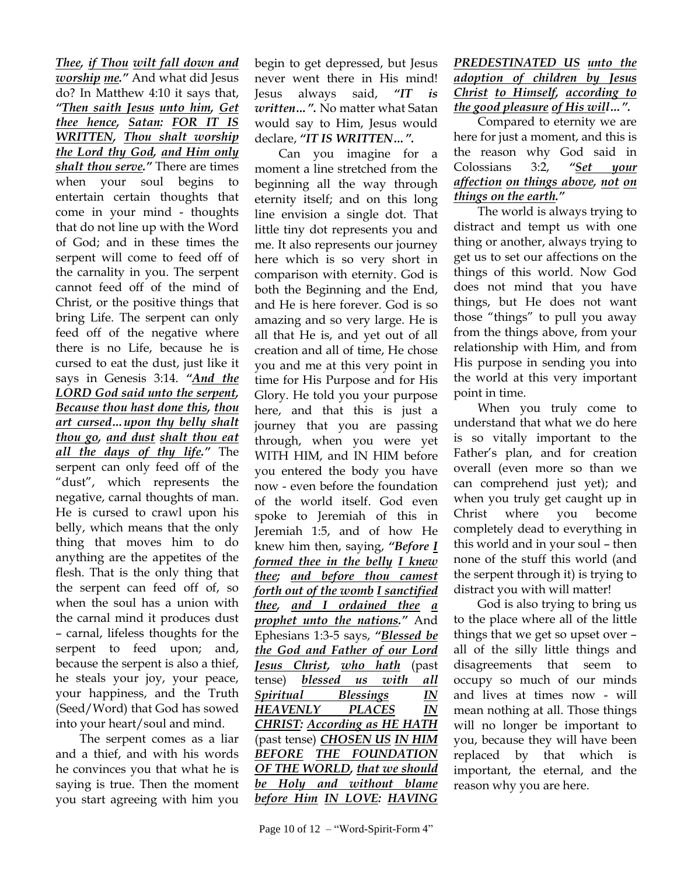*Thee, if Thou wilt fall down and worship me."* And what did Jesus do? In Matthew 4:10 it says that, *"Then saith Jesus unto him, Get thee hence, Satan: FOR IT IS WRITTEN, Thou shalt worship the Lord thy God, and Him only shalt thou serve."* There are times when your soul begins to entertain certain thoughts that come in your mind - thoughts that do not line up with the Word of God; and in these times the serpent will come to feed off of the carnality in you. The serpent cannot feed off of the mind of Christ, or the positive things that bring Life. The serpent can only feed off of the negative where there is no Life, because he is cursed to eat the dust, just like it says in Genesis 3:14. *"And the LORD God said unto the serpent, Because thou hast done this, thou art cursed…upon thy belly shalt thou go, and dust shalt thou eat all the days of thy life."* The serpent can only feed off of the "dust", which represents the negative, carnal thoughts of man. He is cursed to crawl upon his belly, which means that the only thing that moves him to do anything are the appetites of the flesh. That is the only thing that the serpent can feed off of, so when the soul has a union with the carnal mind it produces dust – carnal, lifeless thoughts for the serpent to feed upon; and, because the serpent is also a thief, he steals your joy, your peace, your happiness, and the Truth (Seed/Word) that God has sowed into your heart/soul and mind.

The serpent comes as a liar and a thief, and with his words he convinces you that what he is saying is true. Then the moment you start agreeing with him you

begin to get depressed, but Jesus never went there in His mind! Jesus always said, *"IT is written…".* No matter what Satan would say to Him, Jesus would declare, *"IT IS WRITTEN…".*

Can you imagine for a moment a line stretched from the beginning all the way through eternity itself; and on this long line envision a single dot. That little tiny dot represents you and me. It also represents our journey here which is so very short in comparison with eternity. God is both the Beginning and the End, and He is here forever. God is so amazing and so very large. He is all that He is, and yet out of all creation and all of time, He chose you and me at this very point in time for His Purpose and for His Glory. He told you your purpose here, and that this is just a journey that you are passing through, when you were yet WITH HIM, and IN HIM before you entered the body you have now - even before the foundation of the world itself. God even spoke to Jeremiah of this in Jeremiah 1:5, and of how He knew him then, saying, *"Before I formed thee in the belly I knew thee; and before thou camest forth out of the womb I sanctified thee, and I ordained thee a prophet unto the nations."* And Ephesians 1:3-5 says, *"Blessed be the God and Father of our Lord Jesus Christ, who hath* (past tense) *blessed us with all Spiritual Blessings IN HEAVENLY PLACES IN CHRIST: According as HE HATH* (past tense) *CHOSEN US IN HIM BEFORE THE FOUNDATION OF THE WORLD, that we should be Holy and without blame before Him IN LOVE: HAVING* 

## *PREDESTINATED US unto the adoption of children by Jesus Christ to Himself, according to the good pleasure of His will…".*

Compared to eternity we are here for just a moment, and this is the reason why God said in Colossians 3:2, *"Set your affection on things above, not on things on the earth."*

The world is always trying to distract and tempt us with one thing or another, always trying to get us to set our affections on the things of this world. Now God does not mind that you have things, but He does not want those "things" to pull you away from the things above, from your relationship with Him, and from His purpose in sending you into the world at this very important point in time.

When you truly come to understand that what we do here is so vitally important to the Father"s plan, and for creation overall (even more so than we can comprehend just yet); and when you truly get caught up in Christ where you become completely dead to everything in this world and in your soul – then none of the stuff this world (and the serpent through it) is trying to distract you with will matter!

God is also trying to bring us to the place where all of the little things that we get so upset over – all of the silly little things and disagreements that seem to occupy so much of our minds and lives at times now - will mean nothing at all. Those things will no longer be important to you, because they will have been replaced by that which is important, the eternal, and the reason why you are here.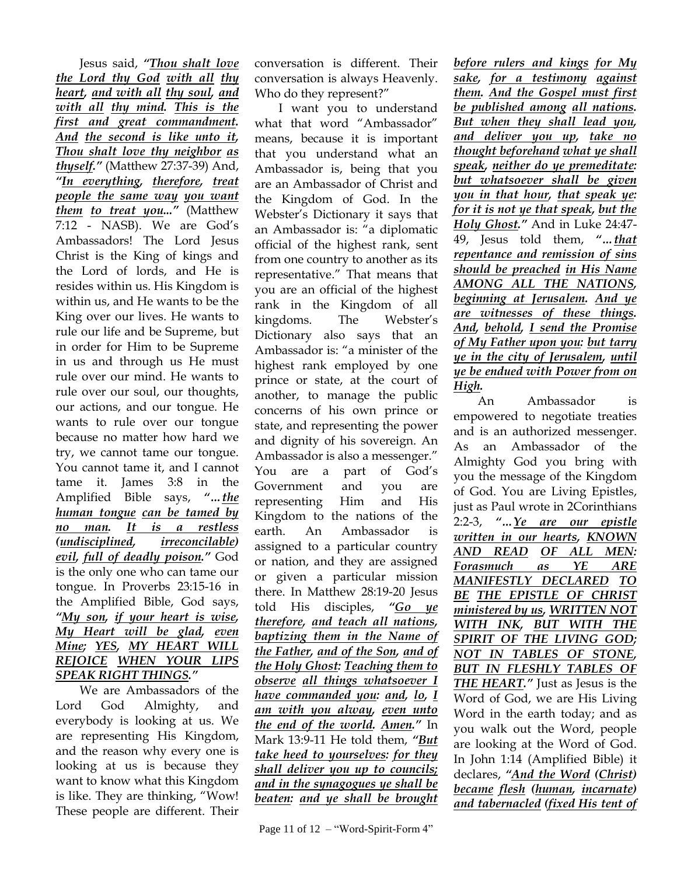Jesus said, *"Thou shalt love the Lord thy God with all thy heart, and with all thy soul, and with all thy mind. This is the first and great commandment. And the second is like unto it, Thou shalt love thy neighbor as thyself."* (Matthew 27:37-39) And, *"In everything, therefore, treat people the same way you want them to treat you..."* (Matthew 7:12 - NASB). We are God"s Ambassadors! The Lord Jesus Christ is the King of kings and the Lord of lords, and He is resides within us. His Kingdom is within us, and He wants to be the King over our lives. He wants to rule our life and be Supreme, but in order for Him to be Supreme in us and through us He must rule over our mind. He wants to rule over our soul, our thoughts, our actions, and our tongue. He wants to rule over our tongue because no matter how hard we try, we cannot tame our tongue. You cannot tame it, and I cannot tame it. James 3:8 in the Amplified Bible says, *"…the human tongue can be tamed by no man. It is a restless (undisciplined, irreconcilable) evil, full of deadly poison."* God is the only one who can tame our tongue. In Proverbs 23:15-16 in the Amplified Bible, God says, *"My son, if your heart is wise, My Heart will be glad, even Mine; YES, MY HEART WILL REJOICE WHEN YOUR LIPS SPEAK RIGHT THINGS."*

We are Ambassadors of the Lord God Almighty, and everybody is looking at us. We are representing His Kingdom, and the reason why every one is looking at us is because they want to know what this Kingdom is like. They are thinking, "Wow! These people are different. Their

conversation is different. Their conversation is always Heavenly. Who do they represent?"

I want you to understand what that word "Ambassador" means, because it is important that you understand what an Ambassador is, being that you are an Ambassador of Christ and the Kingdom of God. In the Webster"s Dictionary it says that an Ambassador is: "a diplomatic official of the highest rank, sent from one country to another as its representative." That means that you are an official of the highest rank in the Kingdom of all kingdoms. The Webster's Dictionary also says that an Ambassador is: "a minister of the highest rank employed by one prince or state, at the court of another, to manage the public concerns of his own prince or state, and representing the power and dignity of his sovereign. An Ambassador is also a messenger." You are a part of God's Government and you are representing Him and His Kingdom to the nations of the earth. An Ambassador is assigned to a particular country or nation, and they are assigned or given a particular mission there. In Matthew 28:19-20 Jesus told His disciples, *"Go ye therefore, and teach all nations, baptizing them in the Name of the Father, and of the Son, and of the Holy Ghost: Teaching them to observe all things whatsoever I have commanded you: and, lo, I am with you alway, even unto the end of the world. Amen."* In Mark 13:9-11 He told them, *"But take heed to yourselves: for they shall deliver you up to councils; and in the synagogues ye shall be beaten: and ye shall be brought* 

*before rulers and kings for My sake, for a testimony against them. And the Gospel must first be published among all nations. But when they shall lead you, and deliver you up, take no thought beforehand what ye shall speak, neither do ye premeditate: but whatsoever shall be given you in that hour, that speak ye: for it is not ye that speak, but the Holy Ghost."* And in Luke 24:47- 49, Jesus told them, *"…that repentance and remission of sins should be preached in His Name AMONG ALL THE NATIONS, beginning at Jerusalem. And ye are witnesses of these things. And, behold, I send the Promise of My Father upon you: but tarry ye in the city of Jerusalem, until ye be endued with Power from on High.*

An Ambassador is empowered to negotiate treaties and is an authorized messenger. As an Ambassador of the Almighty God you bring with you the message of the Kingdom of God. You are Living Epistles, just as Paul wrote in 2Corinthians 2:2-3, *"…Ye are our epistle written in our hearts, KNOWN AND READ OF ALL MEN: Forasmuch as YE ARE MANIFESTLY DECLARED TO BE THE EPISTLE OF CHRIST ministered by us, WRITTEN NOT WITH INK, BUT WITH THE SPIRIT OF THE LIVING GOD; NOT IN TABLES OF STONE, BUT IN FLESHLY TABLES OF THE HEART."* Just as Jesus is the Word of God, we are His Living Word in the earth today; and as you walk out the Word, people are looking at the Word of God. In John 1:14 (Amplified Bible) it declares, *"And the Word (Christ) became flesh (human, incarnate) and tabernacled (fixed His tent of*